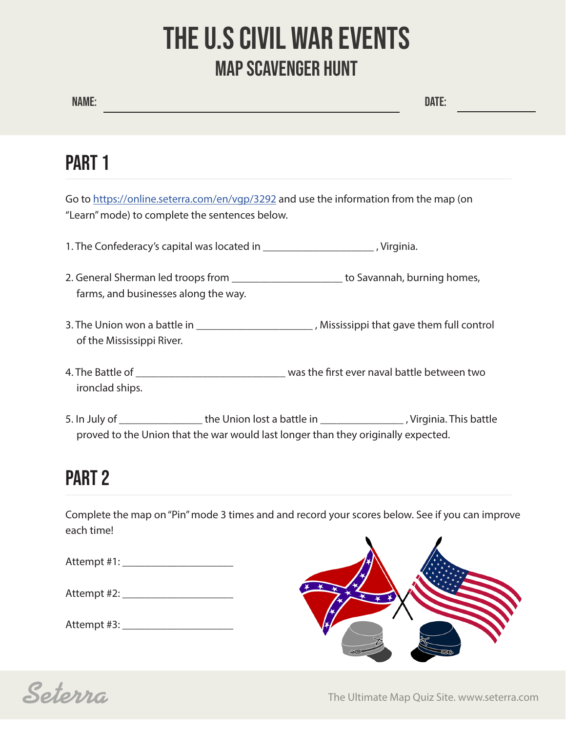# THE U.S CIVIL WAR EVENTS MAP SCAVENGER HUNT

## PART 1

Go to https://online.seterra.com/en/vgp/3292 and use the information from the map (on "Learn" mode) to complete the sentences below.

- 1. The Confederacy's capital was located in \_\_\_\_\_\_\_\_\_\_\_\_\_\_\_\_\_\_\_\_ , Virginia.
- 2. General Sherman led troops from \_\_\_\_\_\_\_\_\_\_\_\_\_\_\_\_\_\_\_\_\_\_\_ to Savannah, burning homes, farms, and businesses along the way.
- 3. The Union won a battle in \_\_\_\_\_\_\_\_\_\_\_\_\_\_\_\_\_\_\_\_\_\_\_\_, Mississippi that gave them full control of the Mississippi River.
- 4. The Battle of \_\_\_\_\_\_\_\_\_\_\_\_\_\_\_\_\_\_\_\_\_\_\_\_\_\_\_ was the first ever naval battle between two ironclad ships.
- 5. In July of \_\_\_\_\_\_\_\_\_\_\_\_\_\_\_\_\_\_ the Union lost a battle in \_\_\_\_\_\_\_\_\_\_\_\_\_\_\_\_\_\_\_\_, Virginia. This battle proved to the Union that the war would last longer than they originally expected.

### PART 2

Complete the map on "Pin" mode 3 times and and record your scores below. See if you can improve each time!

Attempt #1: \_\_\_\_\_\_\_\_\_\_\_\_\_\_\_\_\_\_\_\_

| Attempt #2: |  |
|-------------|--|
|-------------|--|

Attempt #3:





**Seterra** Community The Ultimate Map Quiz Site. www.seterra.com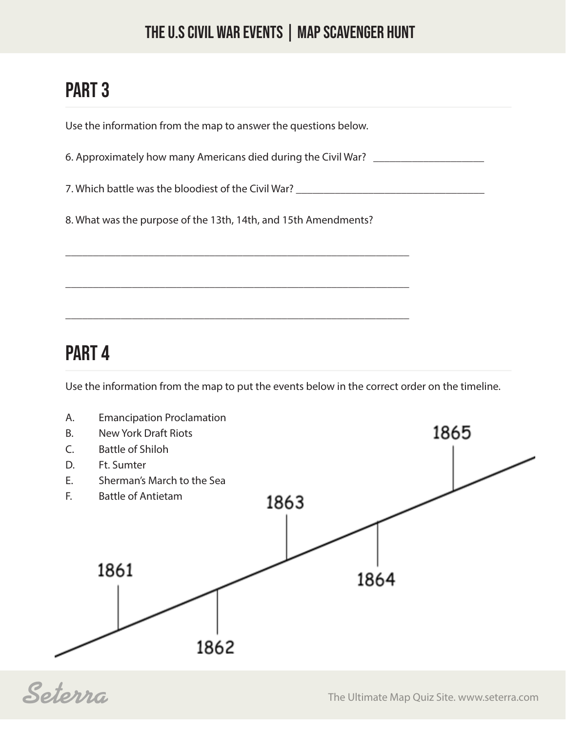#### THE U.S CIVIL WAR EVENTS | MAP SCAVENGER HUNT

## PART 3

Use the information from the map to answer the questions below.

6. Approximately how many Americans died during the Civil War? \_\_\_\_\_\_\_\_\_\_\_\_\_\_\_\_\_

7. Which battle was the bloodiest of the Civil War?

8. What was the purpose of the 13th, 14th, and 15th Amendments?

\_\_\_\_\_\_\_\_\_\_\_\_\_\_\_\_\_\_\_\_\_\_\_\_\_\_\_\_\_\_\_\_\_\_\_\_\_\_\_\_\_\_\_\_\_\_\_\_\_\_\_\_\_\_\_\_\_\_\_\_\_\_

\_\_\_\_\_\_\_\_\_\_\_\_\_\_\_\_\_\_\_\_\_\_\_\_\_\_\_\_\_\_\_\_\_\_\_\_\_\_\_\_\_\_\_\_\_\_\_\_\_\_\_\_\_\_\_\_\_\_\_\_\_\_

\_\_\_\_\_\_\_\_\_\_\_\_\_\_\_\_\_\_\_\_\_\_\_\_\_\_\_\_\_\_\_\_\_\_\_\_\_\_\_\_\_\_\_\_\_\_\_\_\_\_\_\_\_\_\_\_\_\_\_\_\_\_

#### PART 4

Use the information from the map to put the events below in the correct order on the timeline.